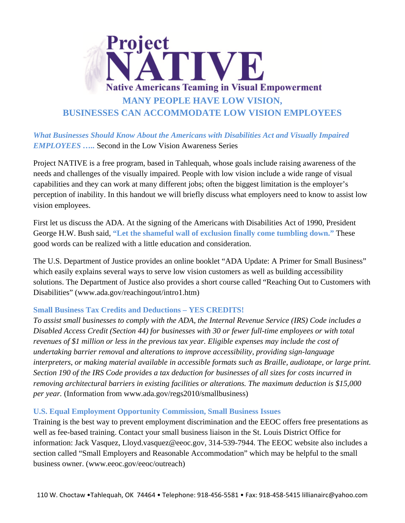

*What Businesses Should Know About the Americans with Disabilities Act and Visually Impaired EMPLOYEES …..* Second in the Low Vision Awareness Series

Project NATIVE is a free program, based in Tahlequah, whose goals include raising awareness of the needs and challenges of the visually impaired. People with low vision include a wide range of visual capabilities and they can work at many different jobs; often the biggest limitation is the employer's perception of inability. In this handout we will briefly discuss what employers need to know to assist low vision employees.

First let us discuss the ADA. At the signing of the Americans with Disabilities Act of 1990, President George H.W. Bush said, **"Let the shameful wall of exclusion finally come tumbling down."** These good words can be realized with a little education and consideration.

The U.S. Department of Justice provides an online booklet "ADA Update: A Primer for Small Business" which easily explains several ways to serve low vision customers as well as building accessibility solutions. The Department of Justice also provides a short course called "Reaching Out to Customers with Disabilities" (www.ada.gov/reachingout/intro1.htm)

## **Small Business Tax Credits and Deductions – YES CREDITS!**

*To assist small businesses to comply with the ADA, the Internal Revenue Service (IRS) Code includes a Disabled Access Credit (Section 44) for businesses with 30 or fewer full-time employees or with total revenues of \$1 million or less in the previous tax year. Eligible expenses may include the cost of undertaking barrier removal and alterations to improve accessibility, providing sign-language interpreters, or making material available in accessible formats such as Braille, audiotape, or large print. Section 190 of the IRS Code provides a tax deduction for businesses of all sizes for costs incurred in removing architectural barriers in existing facilities or alterations. The maximum deduction is \$15,000 per year.* (Information from www.ada.gov/regs2010/smallbusiness)

## **U.S. Equal Employment Opportunity Commission, Small Business Issues**

Training is the best way to prevent employment discrimination and the EEOC offers free presentations as well as fee-based training. Contact your small business liaison in the St. Louis District Office for information: Jack Vasquez, Lloyd.vasquez@eeoc.gov, 314-539-7944. The EEOC website also includes a section called "Small Employers and Reasonable Accommodation" which may be helpful to the small business owner. (www.eeoc.gov/eeoc/outreach)